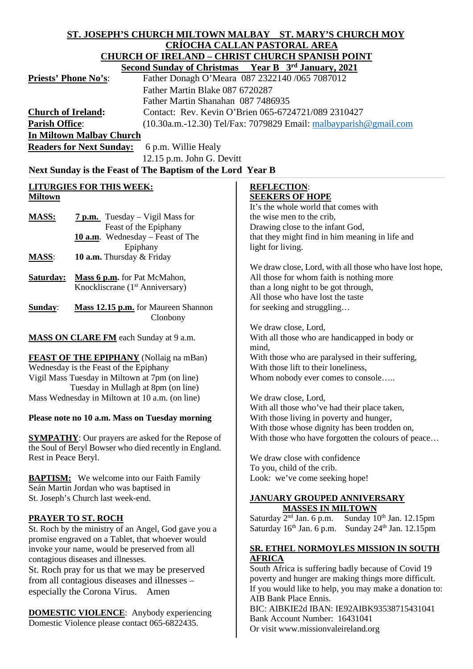#### **ST. JOSEPH'S CHURCH MILTOWN MALBAY ST. MARY'S CHURCH MOY CRÍOCHA CALLAN PASTORAL AREA CHURCH OF IRELAND – CHRIST CHURCH SPANISH POINT**<br>Second Sunday of Christmas Year B  $3<sup>rd</sup>$  January, 2021  **Second Sunday of Christmas**<br>**Principal B 3rd**<br>**Distance B 3rd D** 31 Magne 02 **Priests' Phone No's**: Father Donagh O'Meara 087 2322140 /065 7087012

| FITESIS FIIOIIE INO S.          |                                                            | Fattler Donagn O Meara $007232214070037007012$<br>Father Martin Blake 087 6720287<br>Father Martin Shanahan 087 7486935 |  |
|---------------------------------|------------------------------------------------------------|-------------------------------------------------------------------------------------------------------------------------|--|
|                                 |                                                            |                                                                                                                         |  |
|                                 |                                                            |                                                                                                                         |  |
| <b>Church of Ireland:</b>       |                                                            | Contact: Rev. Kevin O'Brien 065-6724721/089 2310427                                                                     |  |
| <b>Parish Office:</b>           |                                                            | $(10.30a.m.-12.30)$ Tel/Fax: 7079829 Email: $m$ albayparish@gmail.com                                                   |  |
|                                 | <b>In Miltown Malbay Church</b>                            |                                                                                                                         |  |
|                                 | <b>Readers for Next Sunday:</b><br>6 p.m. Willie Healy     |                                                                                                                         |  |
|                                 | 12.15 p.m. John G. Devitt                                  |                                                                                                                         |  |
|                                 | Next Sunday is the Feast of The Baptism of the Lord Year B |                                                                                                                         |  |
| <b>LITURGIES FOR THIS WEEK:</b> |                                                            | <b>REFLECTION:</b>                                                                                                      |  |
| <b>Miltown</b>                  |                                                            | <b>SEEKERS OF HOPE</b>                                                                                                  |  |
|                                 |                                                            | It's the whole world that comes with                                                                                    |  |
| <b>MASS:</b>                    | $7 p.m.$ Tuesday – Vigil Mass for                          | the wise men to the crib,                                                                                               |  |
|                                 | Feast of the Epiphany                                      | Drawing close to the infant God,                                                                                        |  |
|                                 | 10 $a.m.$ Wednesday – Feast of The                         | that they might find in him meaning in life and                                                                         |  |
|                                 | Epiphany                                                   | light for living.                                                                                                       |  |
| <b>MASS:</b>                    | <b>10 a.m.</b> Thursday & Friday                           |                                                                                                                         |  |
|                                 |                                                            | We draw close, Lord, with all those who have lost hope,                                                                 |  |
|                                 | <b>Saturday:</b> Mass 6 p.m. for Pat McMahon,              | All those for whom faith is nothing more                                                                                |  |

**Sunday**: **Mass 12.15 p.m.** for Maureen Shannon Clonbony

Knockliscrane (1<sup>st</sup> Anniversary)

**MASS ON CLARE FM** each Sunday at 9 a.m.

**FEAST OF THE EPIPHANY** (Nollaig na mBan) Wednesday is the Feast of the Epiphany Vigil Mass Tuesday in Miltown at 7pm (on line) Tuesday in Mullagh at 8pm (on line) Mass Wednesday in Miltown at 10 a.m. (on line)

## **Please note no 10 a.m. Mass on Tuesday morning**

**SYMPATHY**: Our prayers are asked for the Repose of the Soul of Beryl Bowser who died recently in England. Rest in Peace Beryl.

**BAPTISM:** We welcome into our Faith Family Seán Martin Jordan who was baptised in St. Joseph's Church last week-end.

## **PRAYER TO ST. ROCH**

St. Roch by the ministry of an Angel, God gave you a promise engraved on a Tablet, that whoever would invoke your name, would be preserved from all contagious diseases and illnesses.

St. Roch pray for us that we may be preserved from all contagious diseases and illnesses – especially the Corona Virus. Amen

**DOMESTIC VIOLENCE**: Anybody experiencing Domestic Violence please contact 065-6822435.

We draw close, Lord, With all those who've had their place taken, With those living in poverty and hunger, With those whose dignity has been trodden on, With those who have forgotten the colours of peace...

With all those who are handicapped in body or

With those who are paralysed in their suffering,

Whom nobody ever comes to console…..

We draw close with confidence To you, child of the crib. Look: we've come seeking hope!

than a long night to be got through, All those who have lost the taste for seeking and struggling…

With those lift to their loneliness,

We draw close, Lord,

mind,

# **JANUARY GROUPED ANNIVERSARY**

**Saturday 2<sup>nd</sup> Jan. 6 p.m. Sunday 10** Sunday  $10^{th}$  Jan. 12.15pm Saturday 16<sup>th</sup> Jan. 6 p.m. Sunday 24<sup>th</sup> Jan. 12.15pm

#### **SR. ETHEL NORMOYLES MISSION IN SOUTH AFRICA**

South Africa is suffering badly because of Covid 19 poverty and hunger are making things more difficult. If you would like to help, you may make a donation to: AIB Bank Place Ennis.

BIC: AIBKIE2d IBAN: IE92AIBK93538715431041 Bank Account Number: 16431041 Or visit www.missionvaleireland.org